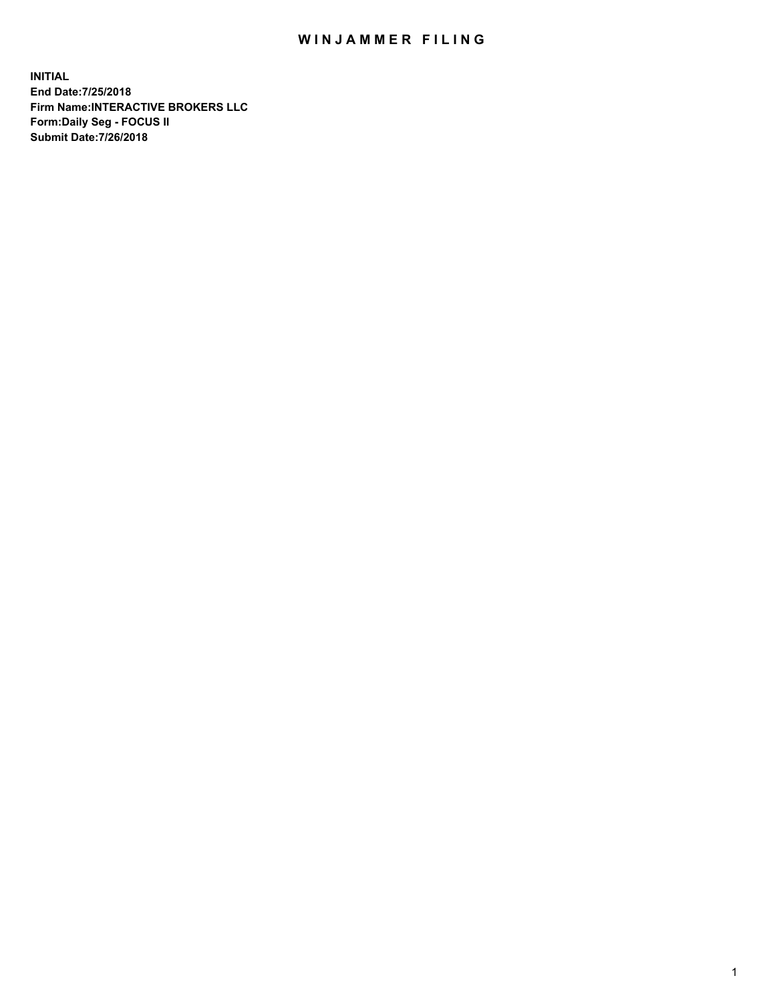## WIN JAMMER FILING

**INITIAL End Date:7/25/2018 Firm Name:INTERACTIVE BROKERS LLC Form:Daily Seg - FOCUS II Submit Date:7/26/2018**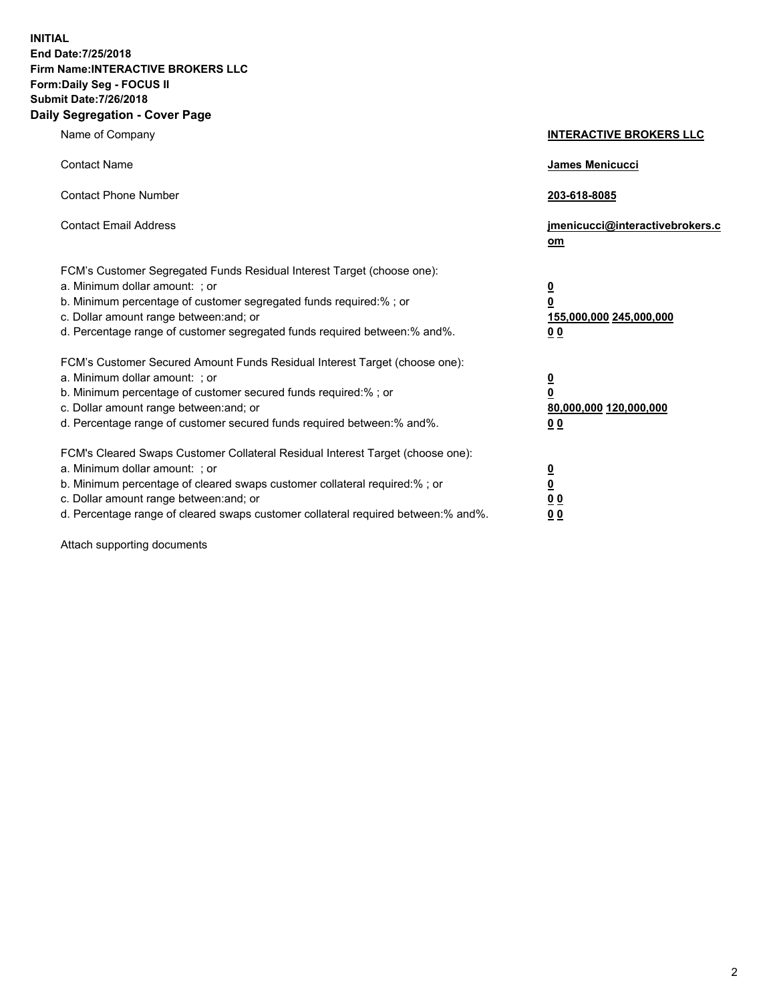**INITIAL End Date:7/25/2018 Firm Name:INTERACTIVE BROKERS LLC Form:Daily Seg - FOCUS II Submit Date:7/26/2018 Daily Segregation - Cover Page**

| Name of Company                                                                                                                                                                                                                                                                                                                | <b>INTERACTIVE BROKERS LLC</b>                                                   |
|--------------------------------------------------------------------------------------------------------------------------------------------------------------------------------------------------------------------------------------------------------------------------------------------------------------------------------|----------------------------------------------------------------------------------|
| <b>Contact Name</b>                                                                                                                                                                                                                                                                                                            | James Menicucci                                                                  |
| <b>Contact Phone Number</b>                                                                                                                                                                                                                                                                                                    | 203-618-8085                                                                     |
| <b>Contact Email Address</b>                                                                                                                                                                                                                                                                                                   | jmenicucci@interactivebrokers.c<br>om                                            |
| FCM's Customer Segregated Funds Residual Interest Target (choose one):<br>a. Minimum dollar amount: ; or<br>b. Minimum percentage of customer segregated funds required:% ; or<br>c. Dollar amount range between: and; or<br>d. Percentage range of customer segregated funds required between:% and%.                         | <u>0</u><br>$\overline{\mathbf{0}}$<br>155,000,000 245,000,000<br>0 <sub>0</sub> |
| FCM's Customer Secured Amount Funds Residual Interest Target (choose one):<br>a. Minimum dollar amount: ; or<br>b. Minimum percentage of customer secured funds required:% ; or<br>c. Dollar amount range between: and; or<br>d. Percentage range of customer secured funds required between:% and%.                           | <u>0</u><br>$\overline{\mathbf{0}}$<br>80,000,000 120,000,000<br>0 <sub>0</sub>  |
| FCM's Cleared Swaps Customer Collateral Residual Interest Target (choose one):<br>a. Minimum dollar amount: ; or<br>b. Minimum percentage of cleared swaps customer collateral required:% ; or<br>c. Dollar amount range between: and; or<br>d. Percentage range of cleared swaps customer collateral required between:% and%. | <u>0</u><br>$\underline{\mathbf{0}}$<br>0 <sub>0</sub><br>0 <sub>0</sub>         |

Attach supporting documents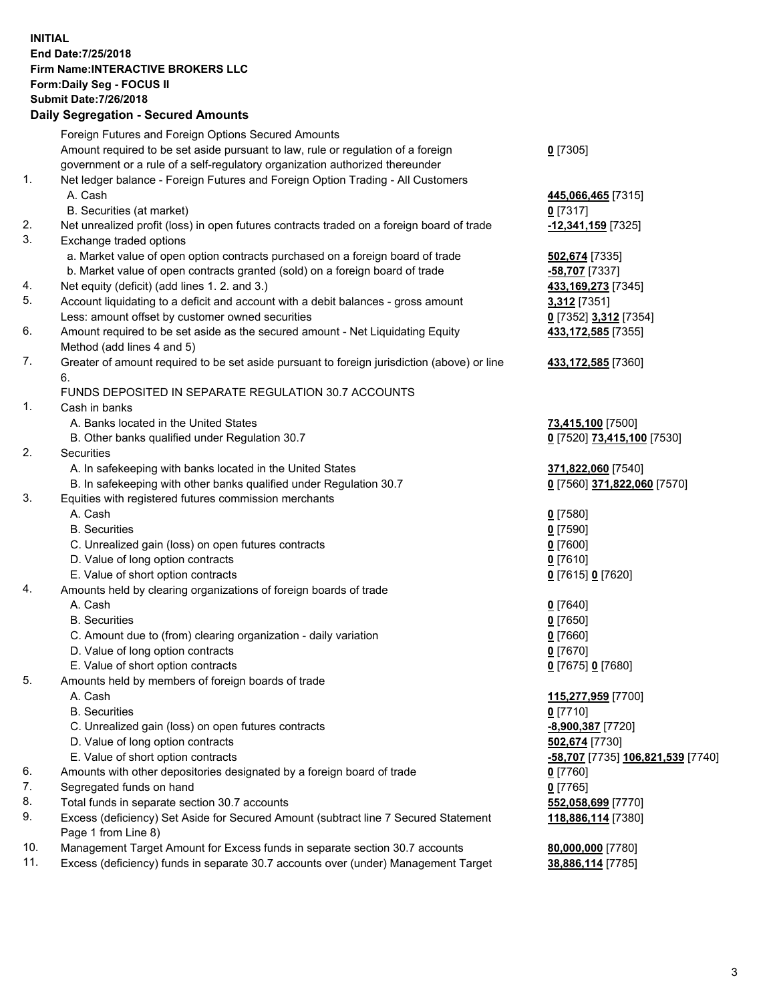## **INITIAL End Date:7/25/2018 Firm Name:INTERACTIVE BROKERS LLC Form:Daily Seg - FOCUS II Submit Date:7/26/2018 Daily Segregation - Secured Amounts**

|     | Daily Segregation - Secured Aniounts                                                                       |                                                |
|-----|------------------------------------------------------------------------------------------------------------|------------------------------------------------|
|     | Foreign Futures and Foreign Options Secured Amounts                                                        |                                                |
|     | Amount required to be set aside pursuant to law, rule or regulation of a foreign                           | $0$ [7305]                                     |
|     | government or a rule of a self-regulatory organization authorized thereunder                               |                                                |
| 1.  | Net ledger balance - Foreign Futures and Foreign Option Trading - All Customers                            |                                                |
|     | A. Cash                                                                                                    | 445,066,465 [7315]                             |
|     | B. Securities (at market)                                                                                  | $0$ [7317]                                     |
| 2.  | Net unrealized profit (loss) in open futures contracts traded on a foreign board of trade                  | 12,341,159 [7325]                              |
| 3.  | Exchange traded options                                                                                    |                                                |
|     | a. Market value of open option contracts purchased on a foreign board of trade                             | 502,674 [7335]                                 |
|     | b. Market value of open contracts granted (sold) on a foreign board of trade                               | -58,707 [7337]                                 |
| 4.  | Net equity (deficit) (add lines 1.2. and 3.)                                                               | 433,169,273 [7345]                             |
| 5.  | Account liquidating to a deficit and account with a debit balances - gross amount                          | 3,312 [7351]                                   |
|     | Less: amount offset by customer owned securities                                                           | 0 [7352] 3,312 [7354]                          |
| 6.  | Amount required to be set aside as the secured amount - Net Liquidating Equity                             | 433,172,585 [7355]                             |
|     | Method (add lines 4 and 5)                                                                                 |                                                |
| 7.  | Greater of amount required to be set aside pursuant to foreign jurisdiction (above) or line                | 433,172,585 [7360]                             |
|     | 6.                                                                                                         |                                                |
|     | FUNDS DEPOSITED IN SEPARATE REGULATION 30.7 ACCOUNTS                                                       |                                                |
| 1.  | Cash in banks                                                                                              |                                                |
|     | A. Banks located in the United States                                                                      | 73,415,100 [7500]                              |
|     | B. Other banks qualified under Regulation 30.7                                                             | 0 [7520] 73,415,100 [7530]                     |
| 2.  | Securities                                                                                                 |                                                |
|     | A. In safekeeping with banks located in the United States                                                  | 371,822,060 [7540]                             |
|     | B. In safekeeping with other banks qualified under Regulation 30.7                                         | 0 [7560] 371,822,060 [7570]                    |
| 3.  | Equities with registered futures commission merchants                                                      |                                                |
|     | A. Cash                                                                                                    | $0$ [7580]                                     |
|     | <b>B.</b> Securities                                                                                       | $0$ [7590]                                     |
|     | C. Unrealized gain (loss) on open futures contracts                                                        | $0$ [7600]                                     |
|     | D. Value of long option contracts                                                                          | $0$ [7610]                                     |
|     | E. Value of short option contracts                                                                         | 0 [7615] 0 [7620]                              |
| 4.  | Amounts held by clearing organizations of foreign boards of trade                                          |                                                |
|     | A. Cash                                                                                                    | $Q$ [7640]                                     |
|     | <b>B.</b> Securities                                                                                       | $0$ [7650]                                     |
|     | C. Amount due to (from) clearing organization - daily variation                                            | $0$ [7660]                                     |
|     | D. Value of long option contracts                                                                          | $0$ [7670]                                     |
|     | E. Value of short option contracts                                                                         | 0 [7675] 0 [7680]                              |
| 5.  | Amounts held by members of foreign boards of trade                                                         |                                                |
|     | A. Cash                                                                                                    | 115,277,959 [7700]                             |
|     | <b>B.</b> Securities                                                                                       | $0$ [7710]                                     |
|     | C. Unrealized gain (loss) on open futures contracts                                                        | -8,900,387 [7720]                              |
|     | D. Value of long option contracts                                                                          | 502,674 [7730]                                 |
|     | E. Value of short option contracts                                                                         | <mark>-58,707</mark> [7735] 106,821,539 [7740] |
| 6.  | Amounts with other depositories designated by a foreign board of trade                                     | 0 [7760]                                       |
| 7.  | Segregated funds on hand                                                                                   | $0$ [7765]                                     |
| 8.  | Total funds in separate section 30.7 accounts                                                              | 552,058,699 [7770]                             |
| 9.  | Excess (deficiency) Set Aside for Secured Amount (subtract line 7 Secured Statement<br>Page 1 from Line 8) | 118,886,114 [7380]                             |
| 10. | Management Target Amount for Excess funds in separate section 30.7 accounts                                | 80,000,000 [7780]                              |
| 11. | Excess (deficiency) funds in separate 30.7 accounts over (under) Management Target                         | 38,886,114 [7785]                              |
|     |                                                                                                            |                                                |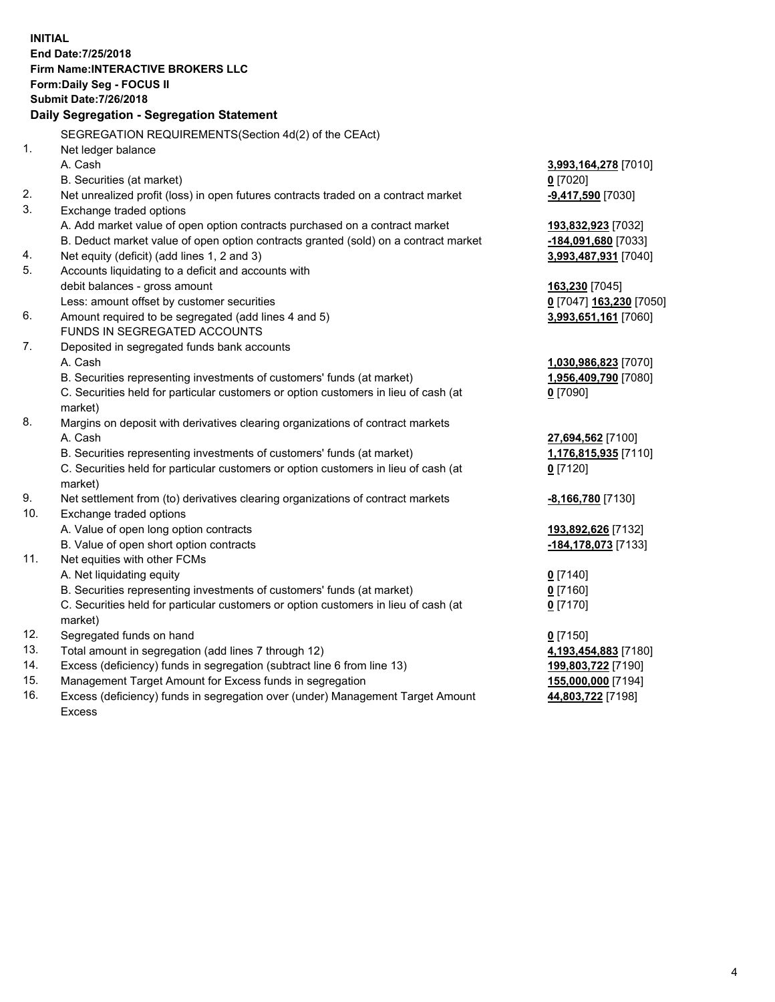**INITIAL End Date:7/25/2018 Firm Name:INTERACTIVE BROKERS LLC Form:Daily Seg - FOCUS II Submit Date:7/26/2018 Daily Segregation - Segregation Statement** SEGREGATION REQUIREMENTS(Section 4d(2) of the CEAct) 1. Net ledger balance A. Cash **3,993,164,278** [7010] B. Securities (at market) **0** [7020] 2. Net unrealized profit (loss) in open futures contracts traded on a contract market **-9,417,590** [7030] 3. Exchange traded options A. Add market value of open option contracts purchased on a contract market **193,832,923** [7032] B. Deduct market value of open option contracts granted (sold) on a contract market **-184,091,680** [7033] 4. Net equity (deficit) (add lines 1, 2 and 3) **3,993,487,931** [7040] 5. Accounts liquidating to a deficit and accounts with debit balances - gross amount **163,230** [7045] Less: amount offset by customer securities **0** [7047] **163,230** [7050] 6. Amount required to be segregated (add lines 4 and 5) **3,993,651,161** [7060] FUNDS IN SEGREGATED ACCOUNTS 7. Deposited in segregated funds bank accounts A. Cash **1,030,986,823** [7070] B. Securities representing investments of customers' funds (at market) **1,956,409,790** [7080] C. Securities held for particular customers or option customers in lieu of cash (at market) **0** [7090] 8. Margins on deposit with derivatives clearing organizations of contract markets A. Cash **27,694,562** [7100] B. Securities representing investments of customers' funds (at market) **1,176,815,935** [7110] C. Securities held for particular customers or option customers in lieu of cash (at market) **0** [7120] 9. Net settlement from (to) derivatives clearing organizations of contract markets **-8,166,780** [7130] 10. Exchange traded options A. Value of open long option contracts **193,892,626** [7132] B. Value of open short option contracts **-184,178,073** [7133] 11. Net equities with other FCMs A. Net liquidating equity **0** [7140] B. Securities representing investments of customers' funds (at market) **0** [7160] C. Securities held for particular customers or option customers in lieu of cash (at market) **0** [7170] 12. Segregated funds on hand **0** [7150] 13. Total amount in segregation (add lines 7 through 12) **4,193,454,883** [7180] 14. Excess (deficiency) funds in segregation (subtract line 6 from line 13) **199,803,722** [7190] 15. Management Target Amount for Excess funds in segregation **155,000,000** [7194] **44,803,722** [7198]

16. Excess (deficiency) funds in segregation over (under) Management Target Amount Excess